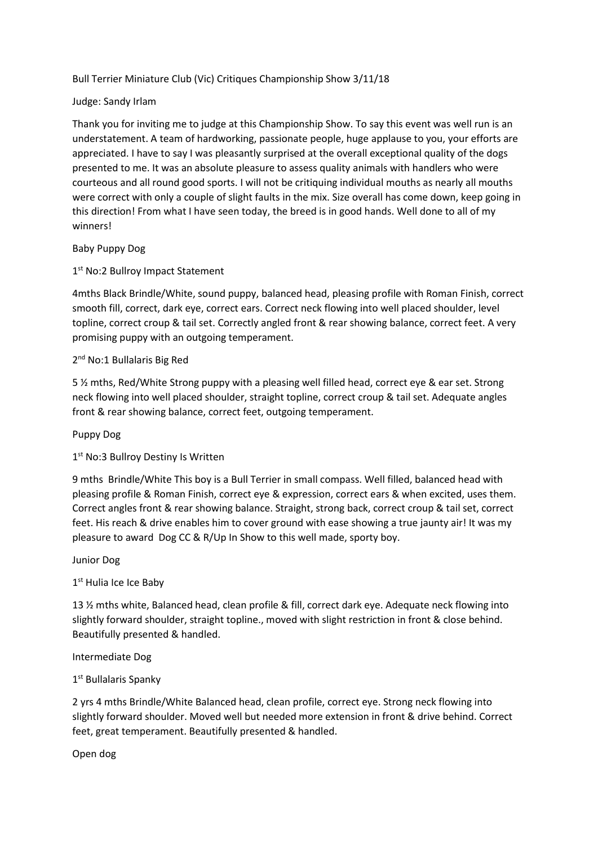Bull Terrier Miniature Club (Vic) Critiques Championship Show 3/11/18

### Judge: Sandy Irlam

Thank you for inviting me to judge at this Championship Show. To say this event was well run is an understatement. A team of hardworking, passionate people, huge applause to you, your efforts are appreciated. I have to say I was pleasantly surprised at the overall exceptional quality of the dogs presented to me. It was an absolute pleasure to assess quality animals with handlers who were courteous and all round good sports. I will not be critiquing individual mouths as nearly all mouths were correct with only a couple of slight faults in the mix. Size overall has come down, keep going in this direction! From what I have seen today, the breed is in good hands. Well done to all of my winners!

#### Baby Puppy Dog

# 1st No:2 Bullroy Impact Statement

4mths Black Brindle/White, sound puppy, balanced head, pleasing profile with Roman Finish, correct smooth fill, correct, dark eye, correct ears. Correct neck flowing into well placed shoulder, level topline, correct croup & tail set. Correctly angled front & rear showing balance, correct feet. A very promising puppy with an outgoing temperament.

## 2<sup>nd</sup> No:1 Bullalaris Big Red

5 % mths, Red/White Strong puppy with a pleasing well filled head, correct eye & ear set. Strong neck flowing into well placed shoulder, straight topline, correct croup & tail set. Adequate angles front & rear showing balance, correct feet, outgoing temperament.

#### Puppy Dog

## 1<sup>st</sup> No:3 Bullroy Destiny Is Written

9 mths Brindle/White This boy is a Bull Terrier in small compass. Well filled, balanced head with pleasing profile & Roman Finish, correct eye & expression, correct ears & when excited, uses them. Correct angles front & rear showing balance. Straight, strong back, correct croup & tail set, correct feet. His reach & drive enables him to cover ground with ease showing a true jaunty air! It was my pleasure to award Dog CC & R/Up In Show to this well made, sporty boy.

#### Junior Dog

### 1st Hulia Ice Ice Baby

13 ½ mths white, Balanced head, clean profile & fill, correct dark eye. Adequate neck flowing into slightly forward shoulder, straight topline., moved with slight restriction in front & close behind. Beautifully presented & handled.

#### Intermediate Dog

## 1st Bullalaris Spanky

2 yrs 4 mths Brindle/White Balanced head, clean profile, correct eye. Strong neck flowing into slightly forward shoulder. Moved well but needed more extension in front & drive behind. Correct feet, great temperament. Beautifully presented & handled.

Open dog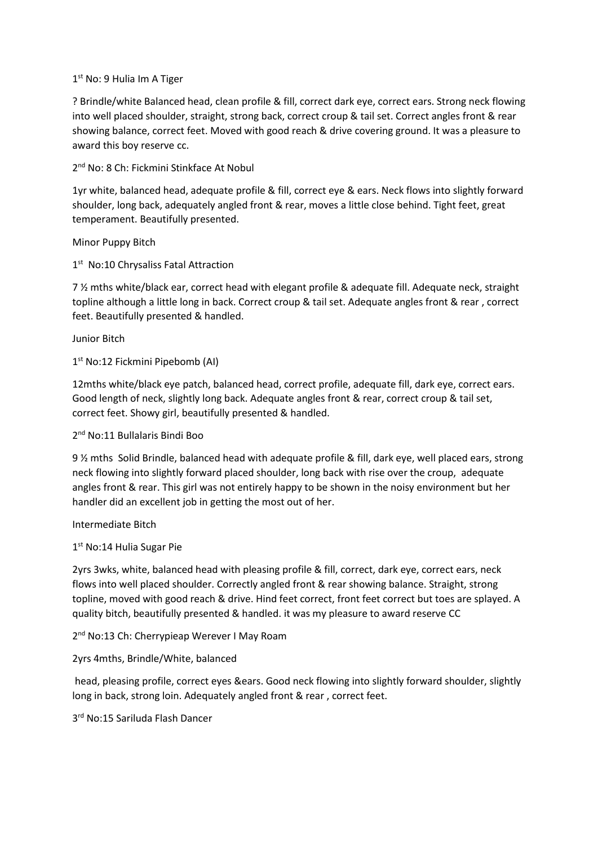### 1 st No: 9 Hulia Im A Tiger

? Brindle/white Balanced head, clean profile & fill, correct dark eye, correct ears. Strong neck flowing into well placed shoulder, straight, strong back, correct croup & tail set. Correct angles front & rear showing balance, correct feet. Moved with good reach & drive covering ground. It was a pleasure to award this boy reserve cc.

2<sup>nd</sup> No: 8 Ch: Fickmini Stinkface At Nobul

1yr white, balanced head, adequate profile & fill, correct eye & ears. Neck flows into slightly forward shoulder, long back, adequately angled front & rear, moves a little close behind. Tight feet, great temperament. Beautifully presented.

Minor Puppy Bitch

1<sup>st</sup> No:10 Chrysaliss Fatal Attraction

7 ½ mths white/black ear, correct head with elegant profile & adequate fill. Adequate neck, straight topline although a little long in back. Correct croup & tail set. Adequate angles front & rear , correct feet. Beautifully presented & handled.

Junior Bitch

1 st No:12 Fickmini Pipebomb (AI)

12mths white/black eye patch, balanced head, correct profile, adequate fill, dark eye, correct ears. Good length of neck, slightly long back. Adequate angles front & rear, correct croup & tail set, correct feet. Showy girl, beautifully presented & handled.

## 2<sup>nd</sup> No:11 Bullalaris Bindi Boo

9 ½ mths Solid Brindle, balanced head with adequate profile & fill, dark eye, well placed ears, strong neck flowing into slightly forward placed shoulder, long back with rise over the croup, adequate angles front & rear. This girl was not entirely happy to be shown in the noisy environment but her handler did an excellent job in getting the most out of her.

Intermediate Bitch

1 st No:14 Hulia Sugar Pie

2yrs 3wks, white, balanced head with pleasing profile & fill, correct, dark eye, correct ears, neck flows into well placed shoulder. Correctly angled front & rear showing balance. Straight, strong topline, moved with good reach & drive. Hind feet correct, front feet correct but toes are splayed. A quality bitch, beautifully presented & handled. it was my pleasure to award reserve CC

2<sup>nd</sup> No:13 Ch: Cherrypieap Werever I May Roam

2yrs 4mths, Brindle/White, balanced

head, pleasing profile, correct eyes &ears. Good neck flowing into slightly forward shoulder, slightly long in back, strong loin. Adequately angled front & rear , correct feet.

3 rd No:15 Sariluda Flash Dancer